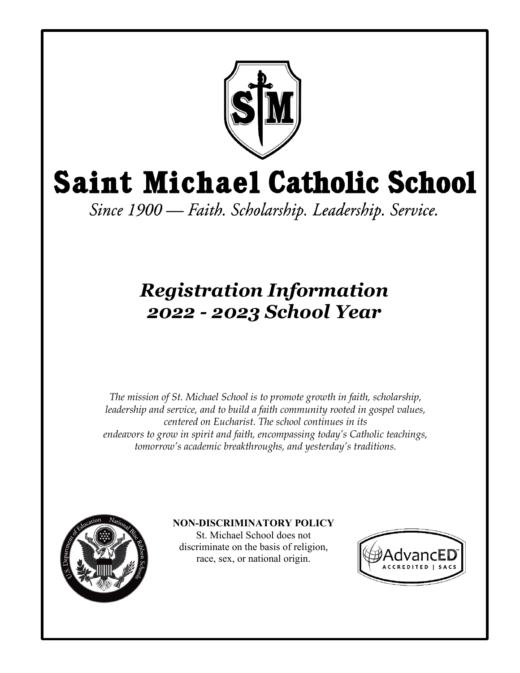

# **Saint Michael Catholic School**

Since 1900 — Faith. Scholarship. Leadership. Service.

# *Registration Information 2022 - 2023 School Year*

*The mission of St. Michael School is to promote growth in faith, scholarship, leadership and service, and to build a faith community rooted in gospel values, centered on Eucharist. The school continues in its endeavors to grow in spirit and faith, encompassing today's Catholic teachings, tomorrow's academic breakthroughs, and yesterday's traditions.*



## **NON-DISCRIMINATORY POLICY**

St. Michael School does not discriminate on the basis of religion, race, sex, or national origin.

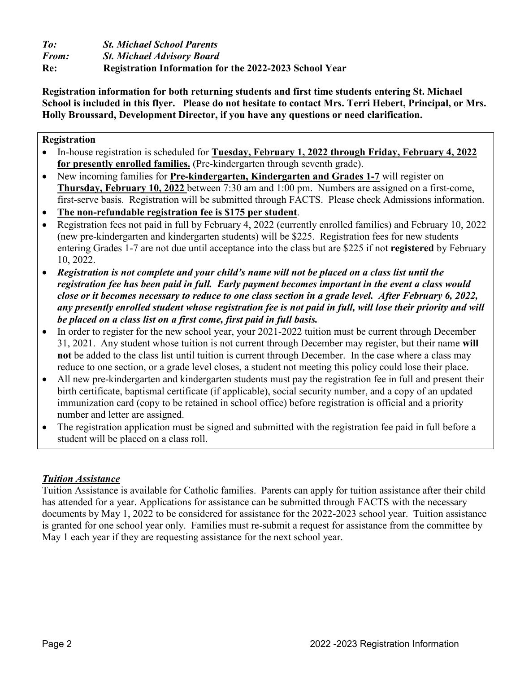*To: St. Michael School Parents From: St. Michael Advisory Board* **Re: Registration Information for the 2022-2023 School Year**

**Registration information for both returning students and first time students entering St. Michael School is included in this flyer. Please do not hesitate to contact Mrs. Terri Hebert, Principal, or Mrs. Holly Broussard, Development Director, if you have any questions or need clarification.**

#### **Registration**

- In-house registration is scheduled for **Tuesday, February 1, 2022 through Friday, February 4, 2022 for presently enrolled families.** (Pre-kindergarten through seventh grade).
- New incoming families for **Pre-kindergarten, Kindergarten and Grades 1-7** will register on **Thursday, February 10, 2022** between 7:30 am and 1:00 pm. Numbers are assigned on a first-come, first-serve basis. Registration will be submitted through FACTS. Please check Admissions information.
- **The non-refundable registration fee is \$175 per student**.
- Registration fees not paid in full by February 4, 2022 (currently enrolled families) and February 10, 2022 (new pre-kindergarten and kindergarten students) will be \$225. Registration fees for new students entering Grades 1-7 are not due until acceptance into the class but are \$225 if not **registered** by February 10, 2022.
- *Registration is not complete and your child's name will not be placed on a class list until the registration fee has been paid in full. Early payment becomes important in the event a class would close or it becomes necessary to reduce to one class section in a grade level. After February 6, 2022, any presently enrolled student whose registration fee is not paid in full, will lose their priority and will be placed on a class list on a first come, first paid in full basis.*
- In order to register for the new school year, your 2021-2022 tuition must be current through December 31, 2021. Any student whose tuition is not current through December may register, but their name **will not** be added to the class list until tuition is current through December. In the case where a class may reduce to one section, or a grade level closes, a student not meeting this policy could lose their place.
- All new pre-kindergarten and kindergarten students must pay the registration fee in full and present their birth certificate, baptismal certificate (if applicable), social security number, and a copy of an updated immunization card (copy to be retained in school office) before registration is official and a priority number and letter are assigned.
- The registration application must be signed and submitted with the registration fee paid in full before a student will be placed on a class roll.

#### *Tuition Assistance*

Tuition Assistance is available for Catholic families. Parents can apply for tuition assistance after their child has attended for a year. Applications for assistance can be submitted through FACTS with the necessary documents by May 1, 2022 to be considered for assistance for the 2022-2023 school year. Tuition assistance is granted for one school year only. Families must re-submit a request for assistance from the committee by May 1 each year if they are requesting assistance for the next school year.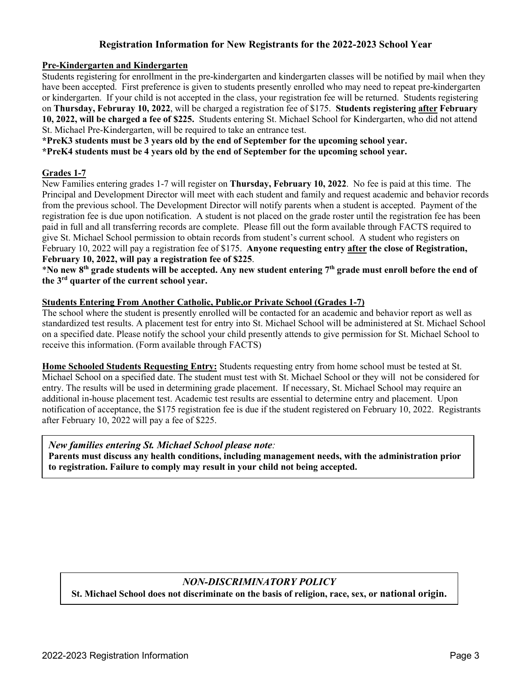#### **Registration Information for New Registrants for the 2022-2023 School Year**

#### **Pre-Kindergarten and Kindergarten**

Students registering for enrollment in the pre-kindergarten and kindergarten classes will be notified by mail when they have been accepted. First preference is given to students presently enrolled who may need to repeat pre-kindergarten or kindergarten. If your child is not accepted in the class, your registration fee will be returned. Students registering on **Thursday, Februray 10, 2022**, will be charged a registration fee of \$175. **Students registering after February 10, 2022, will be charged a fee of \$225.** Students entering St. Michael School for Kindergarten, who did not attend St. Michael Pre-Kindergarten, will be required to take an entrance test.

**\*PreK3 students must be 3 years old by the end of September for the upcoming school year.**

**\*PreK4 students must be 4 years old by the end of September for the upcoming school year.** 

#### **Grades 1-7**

New Families entering grades 1-7 will register on **Thursday, February 10, 2022**. No fee is paid at this time. The Principal and Development Director will meet with each student and family and request academic and behavior records from the previous school. The Development Director will notify parents when a student is accepted. Payment of the registration fee is due upon notification. A student is not placed on the grade roster until the registration fee has been paid in full and all transferring records are complete. Please fill out the form available through FACTS required to give St. Michael School permission to obtain records from student's current school. A student who registers on February 10, 2022 will pay a registration fee of \$175. **Anyone requesting entry after the close of Registration, February 10, 2022, will pay a registration fee of \$225**.

\***No new 8th grade students will be accepted. Any new student entering 7th grade must enroll before the end of the 3rd quarter of the current school year.**

#### **Students Entering From Another Catholic, Public,or Private School (Grades 1-7)**

The school where the student is presently enrolled will be contacted for an academic and behavior report as well as standardized test results. A placement test for entry into St. Michael School will be administered at St. Michael School on a specified date. Please notify the school your child presently attends to give permission for St. Michael School to receive this information. (Form available through FACTS)

**Home Schooled Students Requesting Entry:** Students requesting entry from home school must be tested at St. Michael School on a specified date. The student must test with St. Michael School or they will not be considered for entry. The results will be used in determining grade placement. If necessary, St. Michael School may require an additional in-house placement test. Academic test results are essential to determine entry and placement. Upon notification of acceptance, the \$175 registration fee is due if the student registered on February 10, 2022. Registrants after February 10, 2022 will pay a fee of \$225.

#### *New families entering St. Michael School please note:*

**Parents must discuss any health conditions, including management needs, with the administration prior to registration. Failure to comply may result in your child not being accepted.**

#### *NON-DISCRIMINATORY POLICY*

**St. Michael School does not discriminate on the basis of religion, race, sex, or national origin.**